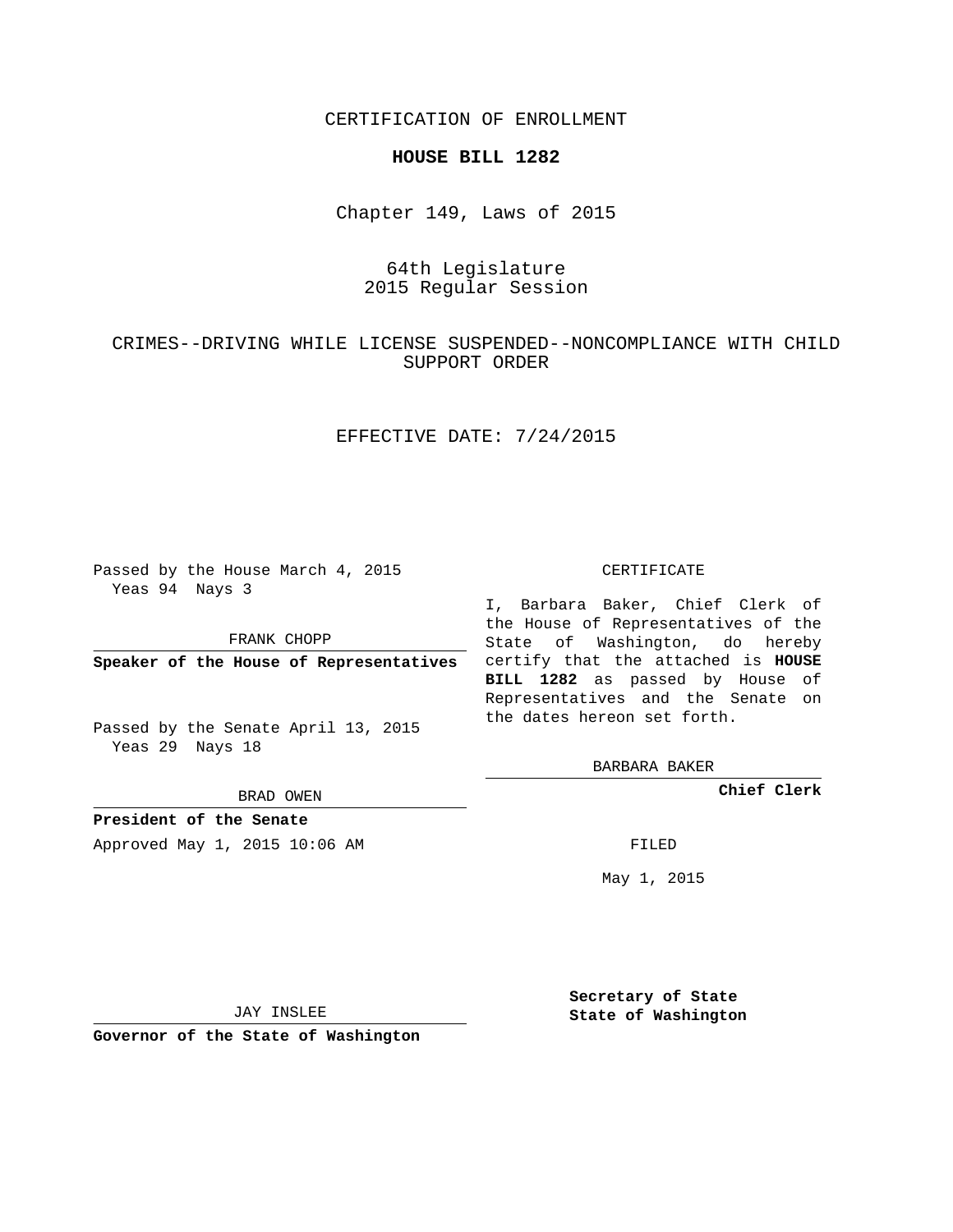CERTIFICATION OF ENROLLMENT

### **HOUSE BILL 1282**

Chapter 149, Laws of 2015

# 64th Legislature 2015 Regular Session

# CRIMES--DRIVING WHILE LICENSE SUSPENDED--NONCOMPLIANCE WITH CHILD SUPPORT ORDER

## EFFECTIVE DATE: 7/24/2015

Passed by the House March 4, 2015 Yeas 94 Nays 3

FRANK CHOPP

Passed by the Senate April 13, 2015 Yeas 29 Nays 18

BRAD OWEN

**President of the Senate**

Approved May 1, 2015 10:06 AM FILED

#### CERTIFICATE

**Speaker of the House of Representatives** certify that the attached is **HOUSE** I, Barbara Baker, Chief Clerk of the House of Representatives of the State of Washington, do hereby **BILL 1282** as passed by House of Representatives and the Senate on the dates hereon set forth.

BARBARA BAKER

**Chief Clerk**

May 1, 2015

JAY INSLEE

**Governor of the State of Washington**

**Secretary of State State of Washington**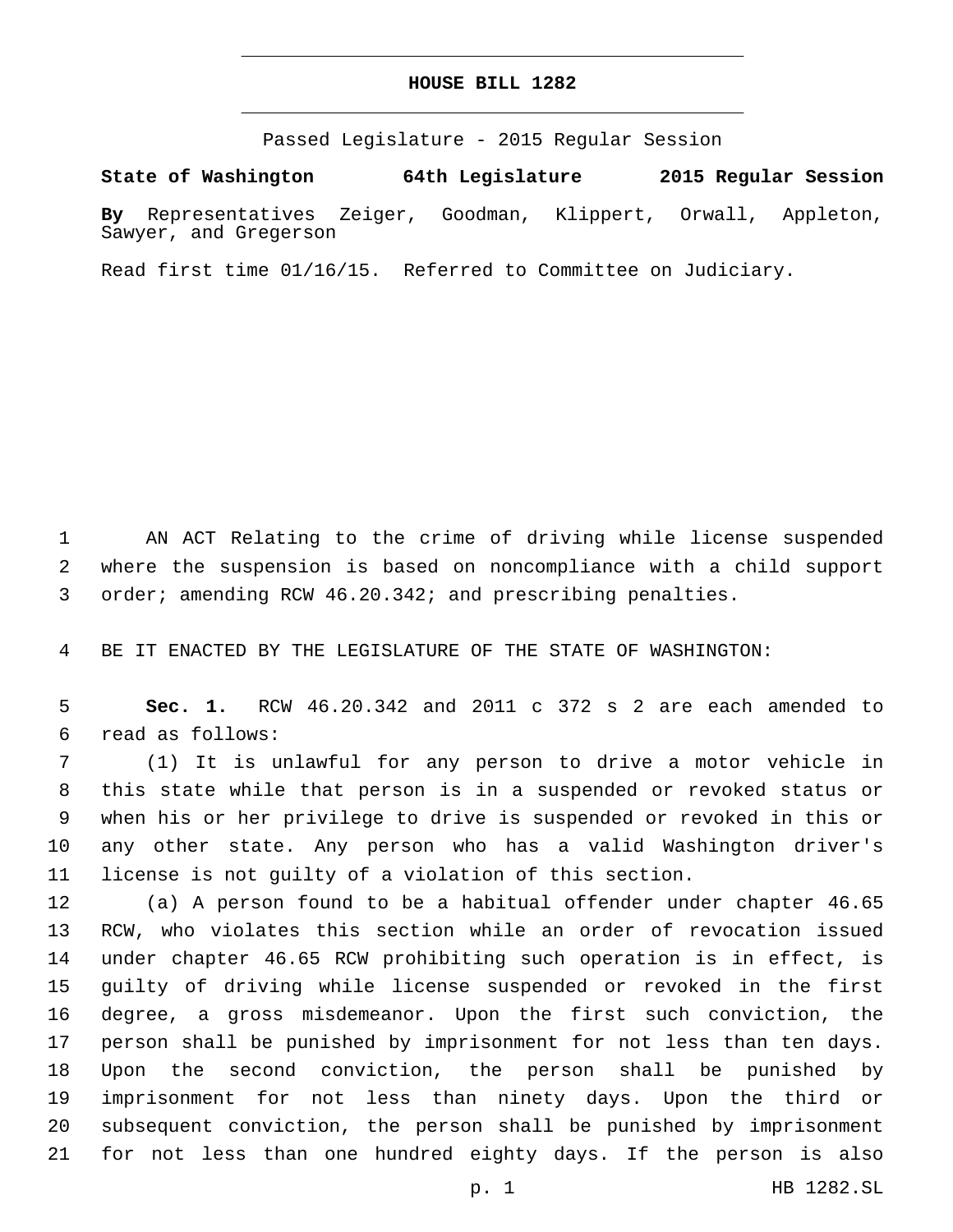## **HOUSE BILL 1282**

Passed Legislature - 2015 Regular Session

**State of Washington 64th Legislature 2015 Regular Session**

**By** Representatives Zeiger, Goodman, Klippert, Orwall, Appleton, Sawyer, and Gregerson

Read first time 01/16/15. Referred to Committee on Judiciary.

 AN ACT Relating to the crime of driving while license suspended where the suspension is based on noncompliance with a child support order; amending RCW 46.20.342; and prescribing penalties.

BE IT ENACTED BY THE LEGISLATURE OF THE STATE OF WASHINGTON:

 **Sec. 1.** RCW 46.20.342 and 2011 c 372 s 2 are each amended to read as follows:6

 (1) It is unlawful for any person to drive a motor vehicle in this state while that person is in a suspended or revoked status or when his or her privilege to drive is suspended or revoked in this or any other state. Any person who has a valid Washington driver's license is not guilty of a violation of this section.

 (a) A person found to be a habitual offender under chapter 46.65 RCW, who violates this section while an order of revocation issued under chapter 46.65 RCW prohibiting such operation is in effect, is guilty of driving while license suspended or revoked in the first degree, a gross misdemeanor. Upon the first such conviction, the person shall be punished by imprisonment for not less than ten days. Upon the second conviction, the person shall be punished by imprisonment for not less than ninety days. Upon the third or subsequent conviction, the person shall be punished by imprisonment for not less than one hundred eighty days. If the person is also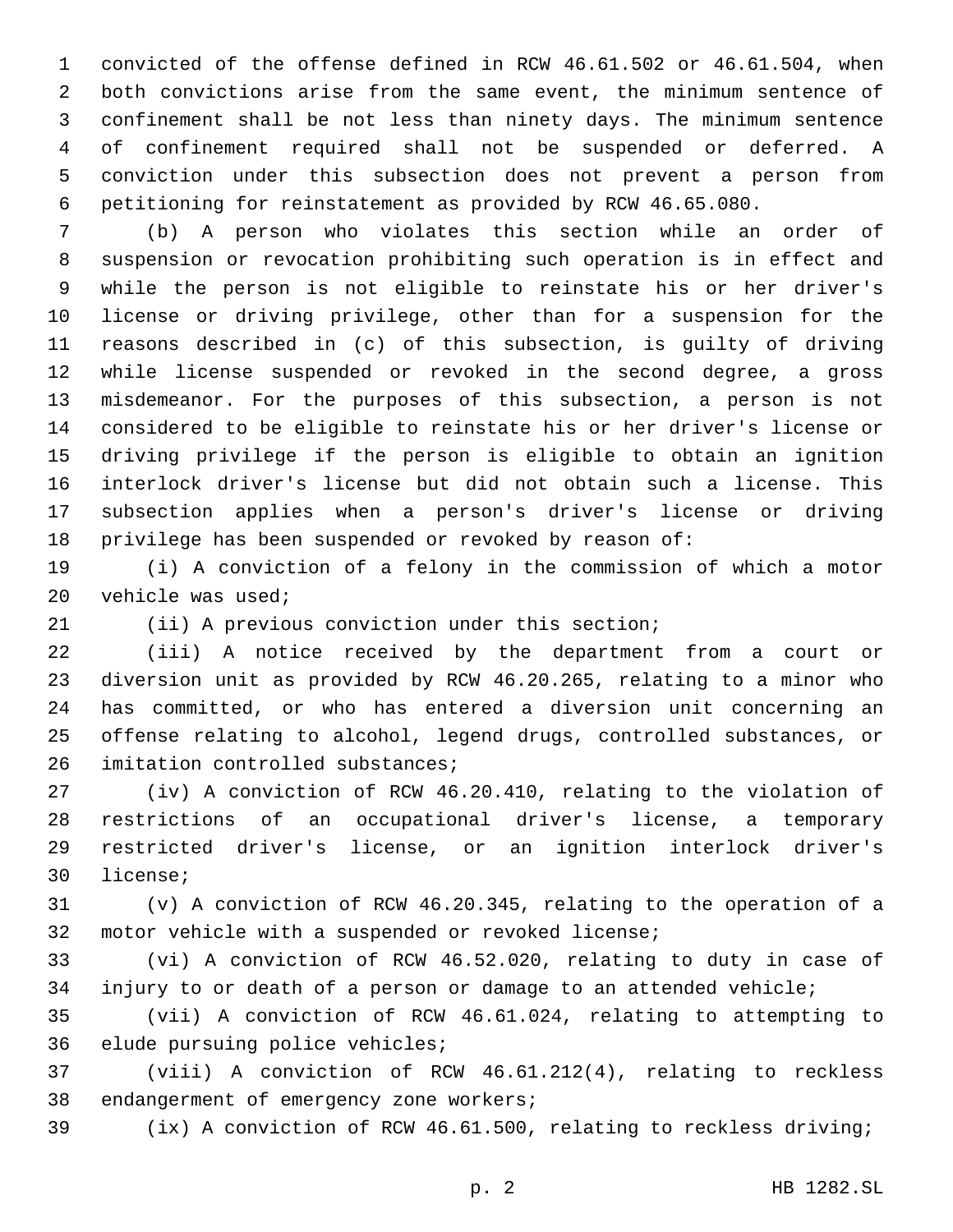convicted of the offense defined in RCW 46.61.502 or 46.61.504, when both convictions arise from the same event, the minimum sentence of confinement shall be not less than ninety days. The minimum sentence of confinement required shall not be suspended or deferred. A conviction under this subsection does not prevent a person from petitioning for reinstatement as provided by RCW 46.65.080.

 (b) A person who violates this section while an order of suspension or revocation prohibiting such operation is in effect and while the person is not eligible to reinstate his or her driver's license or driving privilege, other than for a suspension for the reasons described in (c) of this subsection, is guilty of driving while license suspended or revoked in the second degree, a gross misdemeanor. For the purposes of this subsection, a person is not considered to be eligible to reinstate his or her driver's license or driving privilege if the person is eligible to obtain an ignition interlock driver's license but did not obtain such a license. This subsection applies when a person's driver's license or driving privilege has been suspended or revoked by reason of:

 (i) A conviction of a felony in the commission of which a motor 20 vehicle was used;

(ii) A previous conviction under this section;

 (iii) A notice received by the department from a court or diversion unit as provided by RCW 46.20.265, relating to a minor who has committed, or who has entered a diversion unit concerning an offense relating to alcohol, legend drugs, controlled substances, or 26 imitation controlled substances;

 (iv) A conviction of RCW 46.20.410, relating to the violation of restrictions of an occupational driver's license, a temporary restricted driver's license, or an ignition interlock driver's 30 license;

 (v) A conviction of RCW 46.20.345, relating to the operation of a motor vehicle with a suspended or revoked license;

 (vi) A conviction of RCW 46.52.020, relating to duty in case of injury to or death of a person or damage to an attended vehicle;

 (vii) A conviction of RCW 46.61.024, relating to attempting to 36 elude pursuing police vehicles;

 (viii) A conviction of RCW 46.61.212(4), relating to reckless 38 endangerment of emergency zone workers;

(ix) A conviction of RCW 46.61.500, relating to reckless driving;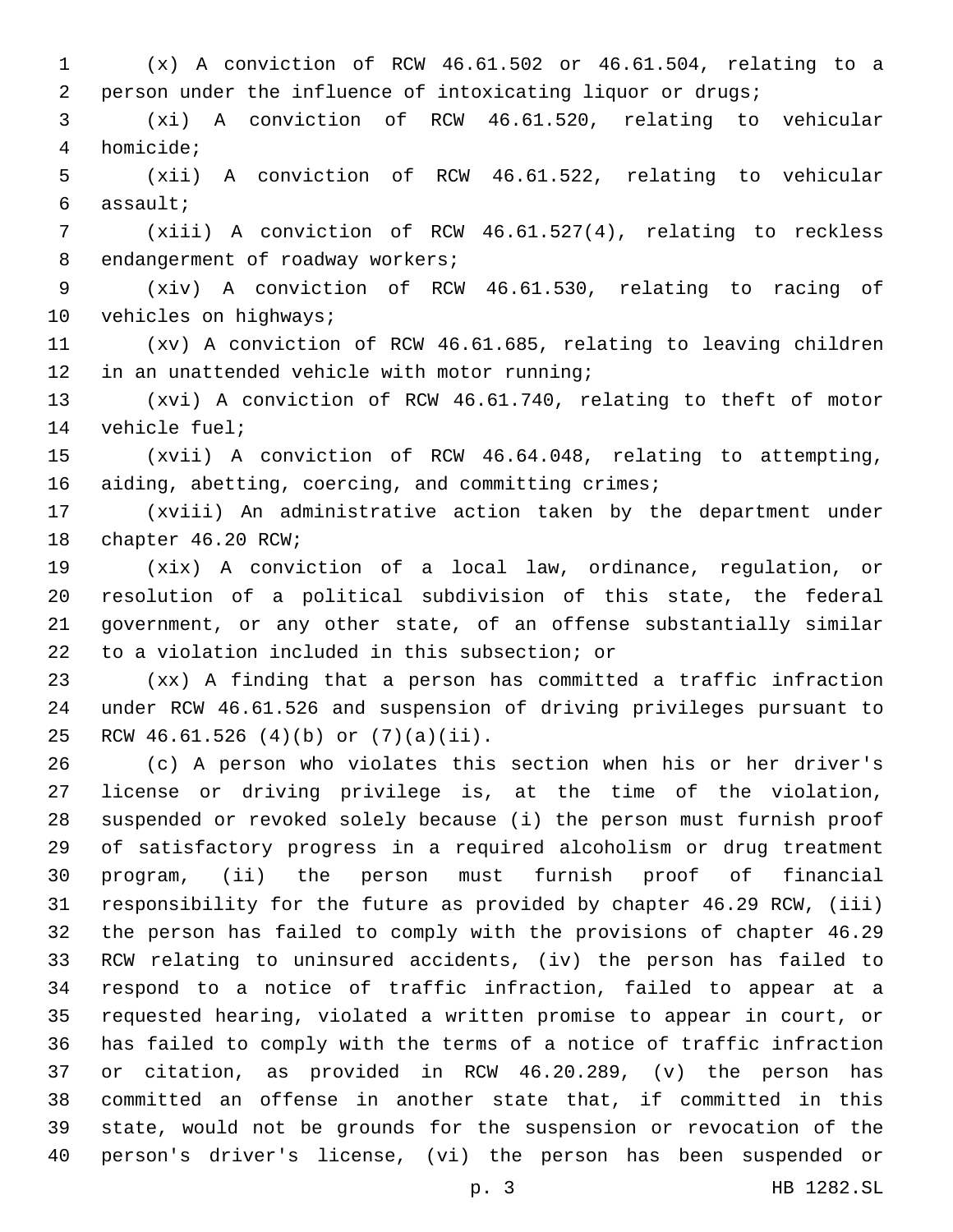(x) A conviction of RCW 46.61.502 or 46.61.504, relating to a person under the influence of intoxicating liquor or drugs;

 (xi) A conviction of RCW 46.61.520, relating to vehicular homicide;4

 (xii) A conviction of RCW 46.61.522, relating to vehicular assault;6

 (xiii) A conviction of RCW 46.61.527(4), relating to reckless 8 endangerment of roadway workers;

 (xiv) A conviction of RCW 46.61.530, relating to racing of 10 vehicles on highways;

 (xv) A conviction of RCW 46.61.685, relating to leaving children 12 in an unattended vehicle with motor running;

 (xvi) A conviction of RCW 46.61.740, relating to theft of motor 14 vehicle fuel;

 (xvii) A conviction of RCW 46.64.048, relating to attempting, aiding, abetting, coercing, and committing crimes;

 (xviii) An administrative action taken by the department under 18 chapter 46.20 RCW;

 (xix) A conviction of a local law, ordinance, regulation, or resolution of a political subdivision of this state, the federal government, or any other state, of an offense substantially similar 22 to a violation included in this subsection; or

 (xx) A finding that a person has committed a traffic infraction under RCW 46.61.526 and suspension of driving privileges pursuant to RCW 46.61.526 (4)(b) or (7)(a)(ii).25

 (c) A person who violates this section when his or her driver's license or driving privilege is, at the time of the violation, suspended or revoked solely because (i) the person must furnish proof of satisfactory progress in a required alcoholism or drug treatment program, (ii) the person must furnish proof of financial responsibility for the future as provided by chapter 46.29 RCW, (iii) the person has failed to comply with the provisions of chapter 46.29 RCW relating to uninsured accidents, (iv) the person has failed to respond to a notice of traffic infraction, failed to appear at a requested hearing, violated a written promise to appear in court, or has failed to comply with the terms of a notice of traffic infraction or citation, as provided in RCW 46.20.289, (v) the person has committed an offense in another state that, if committed in this state, would not be grounds for the suspension or revocation of the person's driver's license, (vi) the person has been suspended or

p. 3 HB 1282.SL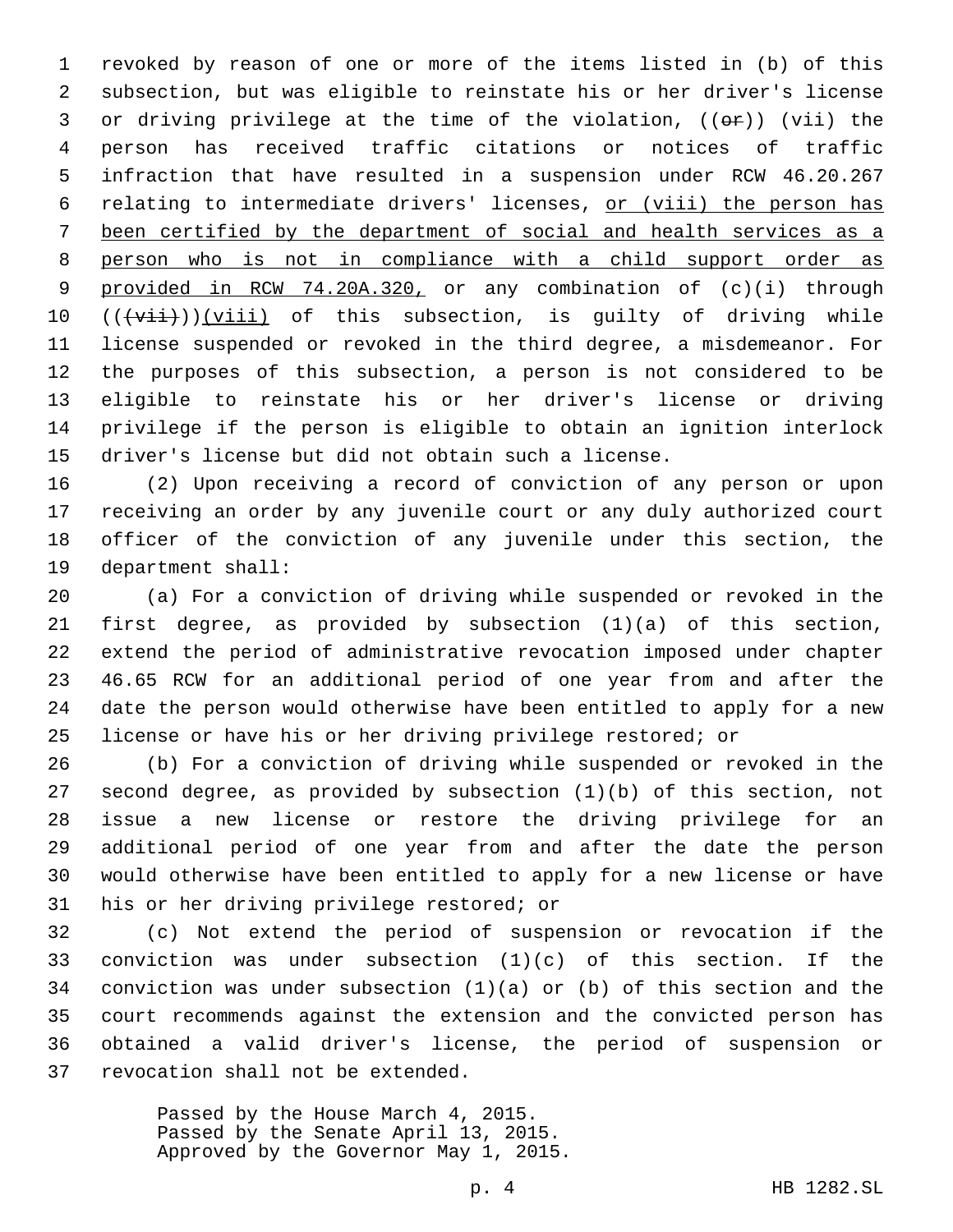revoked by reason of one or more of the items listed in (b) of this subsection, but was eligible to reinstate his or her driver's license 3 or driving privilege at the time of the violation,  $((\theta \cdot \hat{r}))$  (vii) the person has received traffic citations or notices of traffic infraction that have resulted in a suspension under RCW 46.20.267 relating to intermediate drivers' licenses, or (viii) the person has been certified by the department of social and health services as a person who is not in compliance with a child support order as provided in RCW 74.20A.320, or any combination of (c)(i) through  $((\overrightarrow{vii}))(\overrightarrow{viii})$  of this subsection, is guilty of driving while license suspended or revoked in the third degree, a misdemeanor. For the purposes of this subsection, a person is not considered to be eligible to reinstate his or her driver's license or driving privilege if the person is eligible to obtain an ignition interlock driver's license but did not obtain such a license.

 (2) Upon receiving a record of conviction of any person or upon receiving an order by any juvenile court or any duly authorized court officer of the conviction of any juvenile under this section, the 19 department shall:

 (a) For a conviction of driving while suspended or revoked in the first degree, as provided by subsection (1)(a) of this section, extend the period of administrative revocation imposed under chapter 46.65 RCW for an additional period of one year from and after the date the person would otherwise have been entitled to apply for a new license or have his or her driving privilege restored; or

 (b) For a conviction of driving while suspended or revoked in the second degree, as provided by subsection (1)(b) of this section, not issue a new license or restore the driving privilege for an additional period of one year from and after the date the person would otherwise have been entitled to apply for a new license or have 31 his or her driving privilege restored; or

 (c) Not extend the period of suspension or revocation if the conviction was under subsection (1)(c) of this section. If the conviction was under subsection (1)(a) or (b) of this section and the court recommends against the extension and the convicted person has obtained a valid driver's license, the period of suspension or 37 revocation shall not be extended.

> Passed by the House March 4, 2015. Passed by the Senate April 13, 2015. Approved by the Governor May 1, 2015.